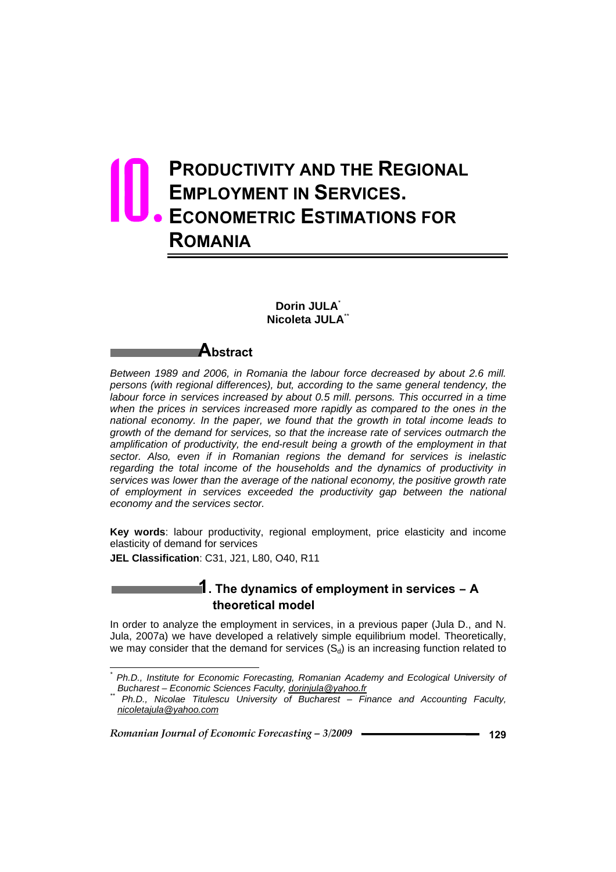# **PRODUCTIVITY AND THE REGIONAL EMPLOYMENT IN SERVICES. ECONOMETRIC ESTIMATIONS FOR ROMANIA** 10.

### **Dorin JULA**\*  **Nicoleta JULA**\*\*

**Abstract** 

*Between 1989 and 2006, in Romania the labour force decreased by about 2.6 mill. persons (with regional differences), but, according to the same general tendency, the labour force in services increased by about 0.5 mill. persons. This occurred in a time when the prices in services increased more rapidly as compared to the ones in the national economy. In the paper, we found that the growth in total income leads to growth of the demand for services, so that the increase rate of services outmarch the amplification of productivity, the end-result being a growth of the employment in that sector. Also, even if in Romanian regions the demand for services is inelastic regarding the total income of the households and the dynamics of productivity in services was lower than the average of the national economy, the positive growth rate of employment in services exceeded the productivity gap between the national economy and the services sector.* 

**Key words**: labour productivity, regional employment, price elasticity and income elasticity of demand for services

**JEL Classification**: C31, J21, L80, O40, R11

l

### **1. The dynamics of employment in services – A theoretical model**

In order to analyze the employment in services, in a previous paper (Jula D., and N. Jula, 2007a) we have developed a relatively simple equilibrium model. Theoretically, we may consider that the demand for services  $(S_d)$  is an increasing function related to

*<sup>\*</sup> Ph.D., Institute for Economic Forecasting, Romanian Academy and Ecological University of* 

*Bucharest – Economic Sciences Faculty, dorinjula@yahoo.fr \*\* Ph.D., Nicolae Titulescu University of Bucharest – Finance and Accounting Faculty, nicoletajula@yahoo.com*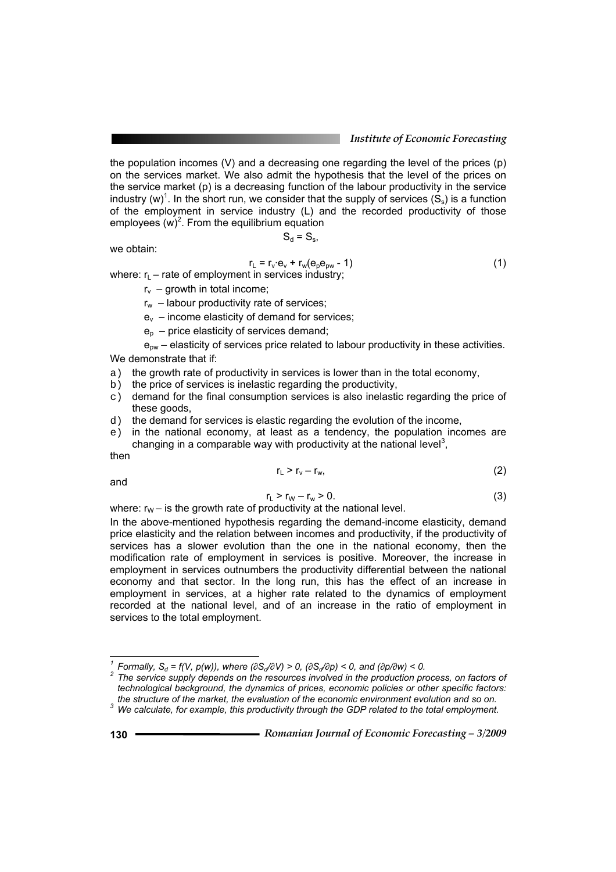the population incomes (V) and a decreasing one regarding the level of the prices (p) on the services market. We also admit the hypothesis that the level of the prices on the service market (p) is a decreasing function of the labour productivity in the service industry (w)<sup>1</sup>. In the short run, we consider that the supply of services  $(S_s)$  is a function of the employment in service industry (L) and the recorded productivity of those employees  $(w)^2$ . From the equilibrium equation

 $S_d = S_s$ 

we obtain:

$$
r_{L} = r_{v} \cdot e_{v} + r_{w}(e_{p}e_{pw} - 1)
$$
 (1)

where:  $r_{L}$  – rate of employment in services industry;

- $r_v$  growth in total income;
- $r_w$  labour productivity rate of services;
- $e_v$  income elasticity of demand for services;
- $e_p$  price elasticity of services demand;

 $e_{\text{ow}}$  – elasticity of services price related to labour productivity in these activities. We demonstrate that if:

- a) the growth rate of productivity in services is lower than in the total economy,
- b) the price of services is inelastic regarding the productivity,
- $c)$  demand for the final consumption services is also inelastic regarding the price of these goods,
- d) the demand for services is elastic regarding the evolution of the income,
- e) in the national economy, at least as a tendency, the population incomes are changing in a comparable way with productivity at the national level<sup>3</sup>,

then

$$
r_{L} > r_{v} - r_{w}, \qquad (2)
$$

and

$$
r_{L} > r_{W} - r_{W} > 0. \tag{3}
$$

where:  $r_W$  – is the growth rate of productivity at the national level.

In the above-mentioned hypothesis regarding the demand-income elasticity, demand price elasticity and the relation between incomes and productivity, if the productivity of services has a slower evolution than the one in the national economy, then the modification rate of employment in services is positive. Moreover, the increase in employment in services outnumbers the productivity differential between the national economy and that sector. In the long run, this has the effect of an increase in employment in services, at a higher rate related to the dynamics of employment recorded at the national level, and of an increase in the ratio of employment in services to the total employment.

*<sup>&</sup>lt;sup>1</sup> Formally, S<sub>d</sub> = f(V, p(w)), where (∂<i>Sd*/∂*V)* > 0, (∂*Sd*/∂*p)* < 0, and (∂*p/∂w)* < 0. <sup>2</sup> *The exation arrival in the argain of the exation arrival in the argain of the exation arrival in the argain of the exat* 

<sup>&</sup>lt;sup>2</sup> The service supply depends on the resources involved in the production process, on factors of *technological background, the dynamics of prices, economic policies or other specific factors: the structure of the market, the evaluation of the economic environment evolution and so on. 3*

<sup>&</sup>lt;sup>3</sup> We calculate, for example, this productivity through the GDP related to the total employment.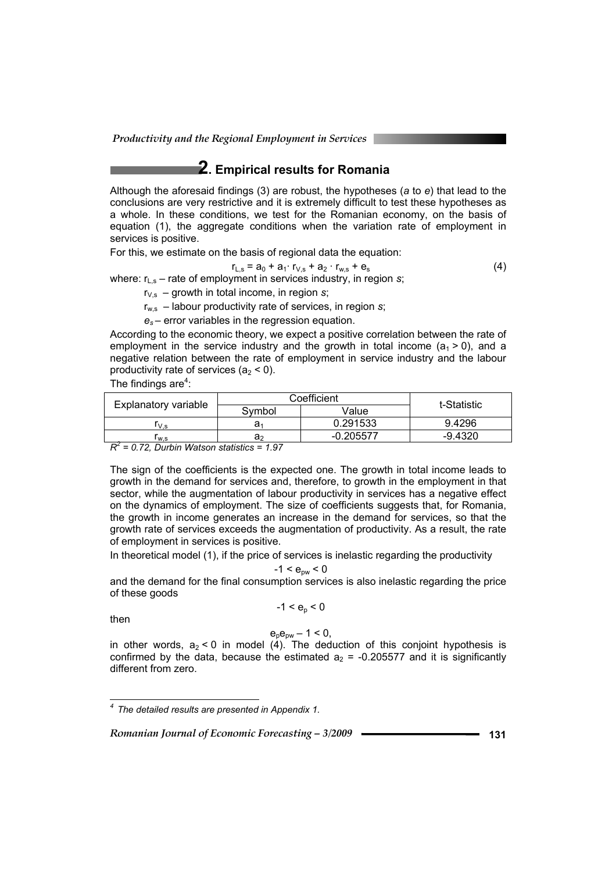*Productivity and the Regional Employment in Services* 

# **2. Empirical results for Romania**

Although the aforesaid findings (3) are robust, the hypotheses (*a* to *e*) that lead to the conclusions are very restrictive and it is extremely difficult to test these hypotheses as a whole. In these conditions, we test for the Romanian economy, on the basis of equation (1), the aggregate conditions when the variation rate of employment in services is positive.

For this, we estimate on the basis of regional data the equation:

 $r_{L,s} = a_0 + a_1 \cdot r_{V,s} + a_2 \cdot r_{w,s} + e_s$  (4)

where:  $r_{L,s}$  – rate of employment in services industry, in region *s*;

 $r_{V,s}$  – growth in total income, in region  $s$ ;

 $r_{ws}$  – labour productivity rate of services, in region *s*;

*es* – error variables in the regression equation.

According to the economic theory, we expect a positive correlation between the rate of employment in the service industry and the growth in total income ( $a_1$  > 0), and a negative relation between the rate of employment in service industry and the labour productivity rate of services  $(a_2 < 0)$ .

The findings are $4$ :

|                      | Coefficient | t-Statistic |         |
|----------------------|-------------|-------------|---------|
| Explanatory variable | Svmbol      | Value       |         |
| V.s                  | a.          | 0.291533    | 9.4296  |
| lw.s                 | a›          | $-0.205577$ | -9.4320 |
| $\sim$               |             |             |         |

*R2 = 0.72, Durbin Watson statistics = 1.97* 

The sign of the coefficients is the expected one. The growth in total income leads to growth in the demand for services and, therefore, to growth in the employment in that sector, while the augmentation of labour productivity in services has a negative effect on the dynamics of employment. The size of coefficients suggests that, for Romania, the growth in income generates an increase in the demand for services, so that the growth rate of services exceeds the augmentation of productivity. As a result, the rate of employment in services is positive.

In theoretical model (1), if the price of services is inelastic regarding the productivity

 $-1 < e_{\text{nw}} < 0$ 

and the demand for the final consumption services is also inelastic regarding the price of these goods

$$
-1 < e_p < 0
$$

then

#### $e_{p}e_{pw} - 1 \le 0$ ,

in other words,  $a_2 < 0$  in model (4). The deduction of this conjoint hypothesis is confirmed by the data, because the estimated  $a_2$  = -0.205577 and it is significantly different from zero.

 *4 The detailed results are presented in Appendix 1.*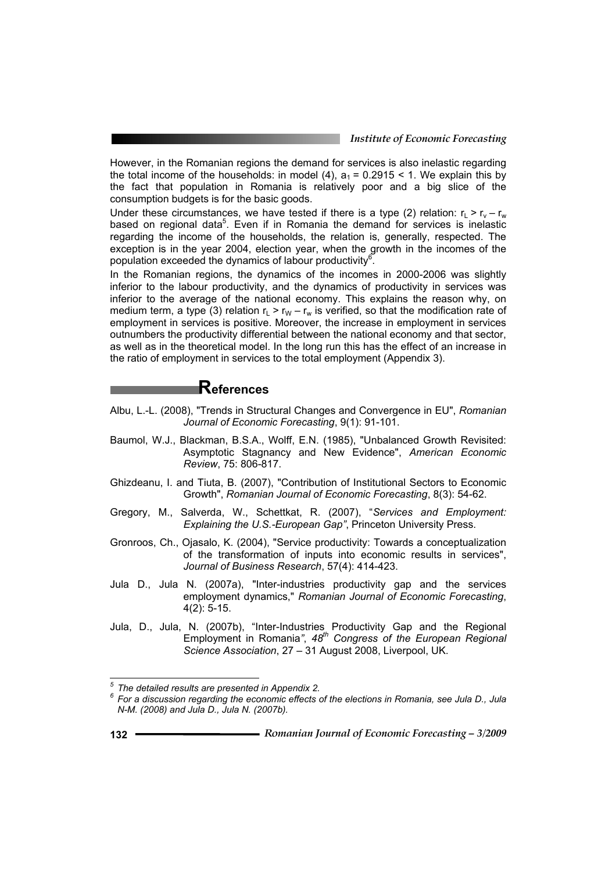However, in the Romanian regions the demand for services is also inelastic regarding the total income of the households: in model (4),  $a_1 = 0.2915 < 1$ . We explain this by the fact that population in Romania is relatively poor and a big slice of the consumption budgets is for the basic goods.

Under these circumstances, we have tested if there is a type (2) relation:  $r_L > r_v - r_w$ based on regional data<sup>5</sup>. Even if in Romania the demand for services is inelastic regarding the income of the households, the relation is, generally, respected. The exception is in the year 2004, election year, when the growth in the incomes of the population exceeded the dynamics of labour productivity $6$ .

In the Romanian regions, the dynamics of the incomes in 2000-2006 was slightly inferior to the labour productivity, and the dynamics of productivity in services was inferior to the average of the national economy. This explains the reason why, on medium term, a type (3) relation  $r_1 > r_W - r_w$  is verified, so that the modification rate of employment in services is positive. Moreover, the increase in employment in services outnumbers the productivity differential between the national economy and that sector, as well as in the theoretical model. In the long run this has the effect of an increase in the ratio of employment in services to the total employment (Appendix 3).

# **References**

- Albu, L.-L. (2008), "Trends in Structural Changes and Convergence in EU", *Romanian Journal of Economic Forecasting*, 9(1): 91-101.
- Baumol, W.J., Blackman, B.S.A., Wolff, E.N. (1985), "Unbalanced Growth Revisited: Asymptotic Stagnancy and New Evidence", *American Economic Review*, 75: 806-817.
- Ghizdeanu, I. and Tiuta, B. (2007), "Contribution of Institutional Sectors to Economic Growth", *Romanian Journal of Economic Forecasting*, 8(3): 54-62.
- Gregory, M., Salverda, W., Schettkat, R. (2007), "*Services and Employment: Explaining the U.S.-European Gap"*, Princeton University Press.
- Gronroos, Ch., Ojasalo, K. (2004), "Service productivity: Towards a conceptualization of the transformation of inputs into economic results in services", *Journal of Business Research*, 57(4): 414-423.
- Jula D., Jula N. (2007a), "Inter-industries productivity gap and the services employment dynamics," *Romanian Journal of Economic Forecasting*, 4(2): 5-15.
- Jula, D., Jula, N. (2007b), "Inter-Industries Productivity Gap and the Regional Employment in Romania*"*, *48th Congress of the European Regional Science Association*, 27 – 31 August 2008, Liverpool, UK.

<sup>&</sup>lt;sup>5</sup> The detailed results are presented in Appendix 2.<br><sup>6</sup> Fer a discussion reserding the essenting offects a

*For a discussion regarding the economic effects of the elections in Romania, see Jula D., Jula N-M. (2008) and Jula D., Jula N. (2007b).*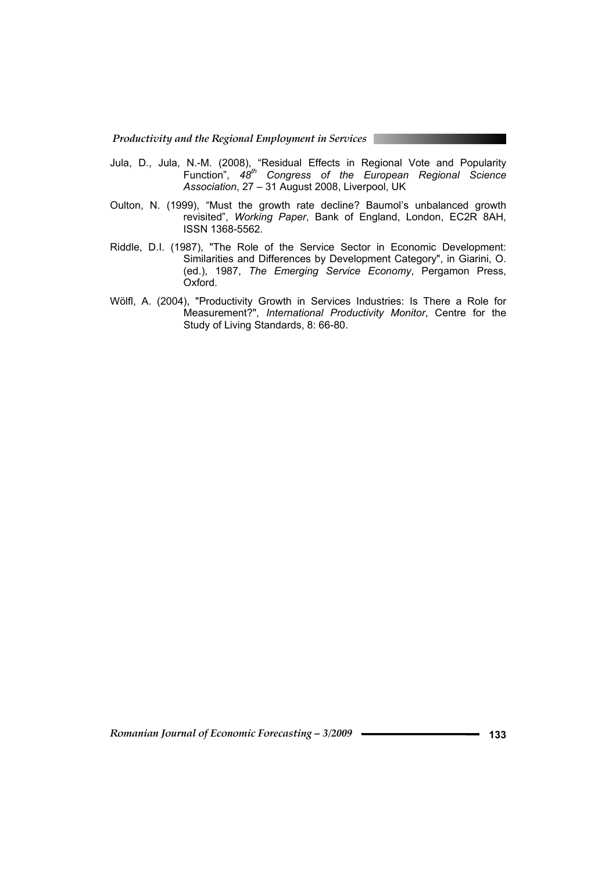*Productivity and the Regional Employment in Services* 

- Jula, D., Jula, N.-M. (2008), "Residual Effects in Regional Vote and Popularity Function", *48th Congress of the European Regional Science Association*, 27 – 31 August 2008, Liverpool, UK
- Oulton, N. (1999), "Must the growth rate decline? Baumol's unbalanced growth revisited", *Working Paper*, Bank of England, London, EC2R 8AH, ISSN 1368-5562.
- Riddle, D.I. (1987), "The Role of the Service Sector in Economic Development: Similarities and Differences by Development Category", in Giarini, O. (ed.), 1987, *The Emerging Service Economy*, Pergamon Press, Oxford.
- Wölfl, A. (2004), "Productivity Growth in Services Industries: Is There a Role for Measurement?", *International Productivity Monitor*, Centre for the Study of Living Standards, 8: 66-80.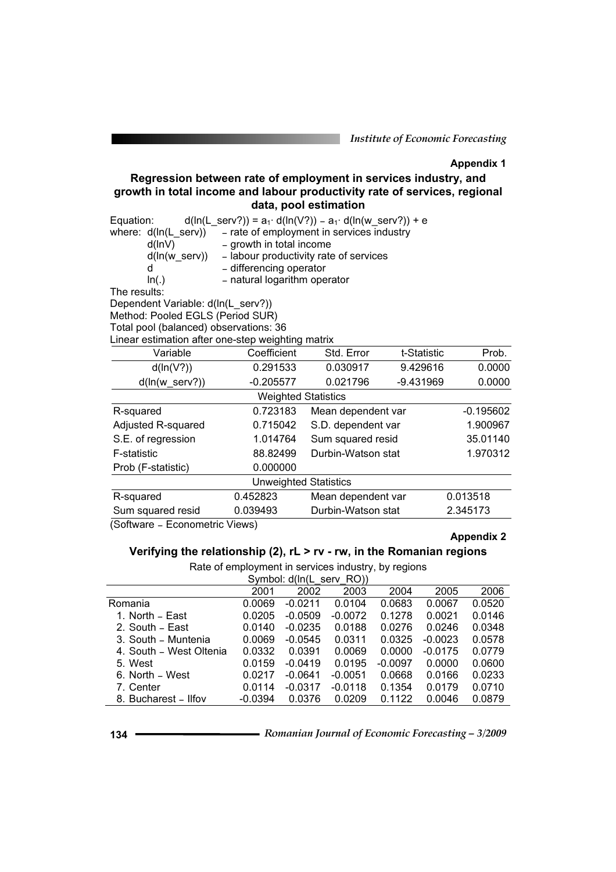*Institute of Economic Forecasting*

#### **Appendix 1**

### **Regression between rate of employment in services industry, and growth in total income and labour productivity rate of services, regional data, pool estimation**

| $d(ln(L_serv?)) = a_1 \cdot d(ln(V?)) - a_1 \cdot d(ln(w_serv?)) + e$<br>Equation: |                                           |                    |             |             |  |  |  |  |
|------------------------------------------------------------------------------------|-------------------------------------------|--------------------|-------------|-------------|--|--|--|--|
| where: $d(ln(L_serv))$                                                             | - rate of employment in services industry |                    |             |             |  |  |  |  |
| d(lnV)                                                                             | - growth in total income                  |                    |             |             |  |  |  |  |
| d(ln(w_serv))                                                                      | - labour productivity rate of services    |                    |             |             |  |  |  |  |
| d                                                                                  | - differencing operator                   |                    |             |             |  |  |  |  |
| - natural logarithm operator<br>ln(.)                                              |                                           |                    |             |             |  |  |  |  |
| The results:                                                                       |                                           |                    |             |             |  |  |  |  |
| Dependent Variable: d(ln(L_serv?))                                                 |                                           |                    |             |             |  |  |  |  |
| Method: Pooled EGLS (Period SUR)                                                   |                                           |                    |             |             |  |  |  |  |
| Total pool (balanced) observations: 36                                             |                                           |                    |             |             |  |  |  |  |
| Linear estimation after one-step weighting matrix                                  |                                           |                    |             |             |  |  |  |  |
| Variable                                                                           | Coefficient                               | Std. Error         | t-Statistic | Prob.       |  |  |  |  |
| d(ln(V?))                                                                          | 0.291533                                  | 0.030917           | 9.429616    | 0.0000      |  |  |  |  |
| $d(ln(w_serv?))$                                                                   | $-0.205577$                               | 0.021796           | -9.431969   | 0.0000      |  |  |  |  |
|                                                                                    | <b>Weighted Statistics</b>                |                    |             |             |  |  |  |  |
| R-squared                                                                          | 0.723183                                  | Mean dependent var |             | $-0.195602$ |  |  |  |  |
| Adjusted R-squared                                                                 | 0.715042                                  | S.D. dependent var |             | 1.900967    |  |  |  |  |
| S.E. of regression                                                                 | 1.014764                                  | Sum squared resid  |             | 35.01140    |  |  |  |  |
| <b>F-statistic</b>                                                                 | 88.82499                                  | Durbin-Watson stat |             | 1.970312    |  |  |  |  |
| Prob (F-statistic)                                                                 | 0.000000                                  |                    |             |             |  |  |  |  |
|                                                                                    | <b>Unweighted Statistics</b>              |                    |             |             |  |  |  |  |
| R-squared                                                                          | 0.452823                                  | Mean dependent var |             | 0.013518    |  |  |  |  |
| Sum squared resid                                                                  | 0.039493                                  | Durbin-Watson stat |             | 2.345173    |  |  |  |  |

(Software – Econometric Views)

#### **Appendix 2**

### **Verifying the relationship (2), rL > rv - rw, in the Romanian regions**

Rate of employment in services industry, by regions

| Symbol: d(ln(L serv RO))                     |           |           |           |           |           |        |  |  |  |  |
|----------------------------------------------|-----------|-----------|-----------|-----------|-----------|--------|--|--|--|--|
| 2006<br>2001<br>2002<br>2003<br>2004<br>2005 |           |           |           |           |           |        |  |  |  |  |
| Romania                                      | 0.0069    | $-0.0211$ | 0.0104    | 0.0683    | 0.0067    | 0.0520 |  |  |  |  |
| 1. North - East                              | 0.0205    | $-0.0509$ | $-0.0072$ | 0.1278    | 0.0021    | 0.0146 |  |  |  |  |
| 2. South – East                              | 0.0140    | $-0.0235$ | 0.0188    | 0.0276    | 0.0246    | 0.0348 |  |  |  |  |
| 3. South - Muntenia                          | 0.0069    | $-0.0545$ | 0.0311    | 0.0325    | $-0.0023$ | 0.0578 |  |  |  |  |
| 4. South – West Oltenia                      | 0.0332    | 0.0391    | 0.0069    | 0.0000    | $-0.0175$ | 0.0779 |  |  |  |  |
| 5. West                                      | 0.0159    | $-0.0419$ | 0.0195    | $-0.0097$ | 0.0000    | 0.0600 |  |  |  |  |
| 6. North – West                              | 0.0217    | $-0.0641$ | $-0.0051$ | 0.0668    | 0.0166    | 0.0233 |  |  |  |  |
| 7. Center                                    | 0.0114    | $-0.0317$ | $-0.0118$ | 0.1354    | 0.0179    | 0.0710 |  |  |  |  |
| 8. Bucharest - Ilfov                         | $-0.0394$ | 0.0376    | 0.0209    | 0.1122    | 0.0046    | 0.0879 |  |  |  |  |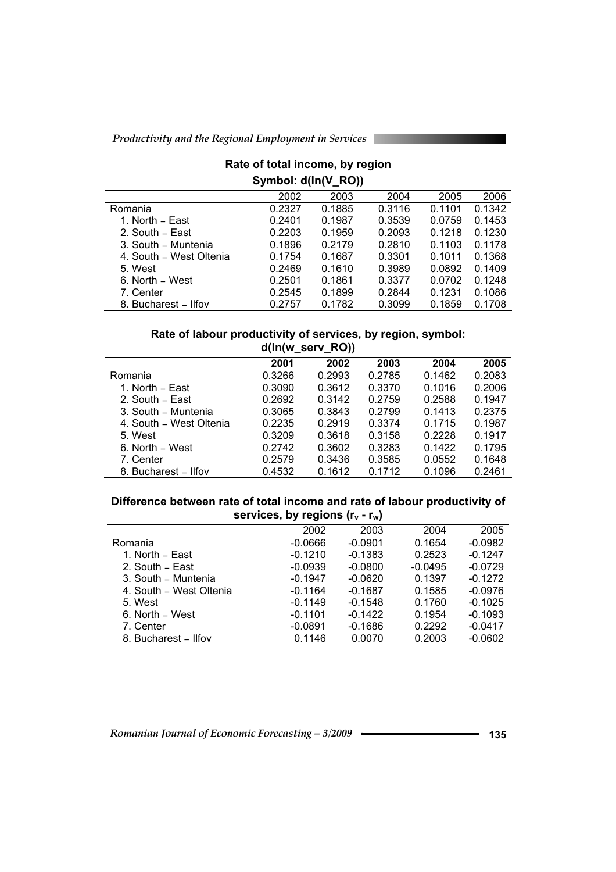# **Rate of total income, by region Symbol: d(ln(V\_RO))**

|                         | 2002   | 2003   | 2004   | 2005   | 2006   |
|-------------------------|--------|--------|--------|--------|--------|
| Romania                 | 0.2327 | 0.1885 | 0.3116 | 0.1101 | 0.1342 |
| 1. North – East         | 0.2401 | 0.1987 | 0.3539 | 0.0759 | 0.1453 |
| 2. South - East         | 0.2203 | 0.1959 | 0.2093 | 0.1218 | 0.1230 |
| 3. South - Muntenia     | 0.1896 | 0.2179 | 0.2810 | 0.1103 | 0.1178 |
| 4. South - West Oltenia | 0.1754 | 0.1687 | 0.3301 | 0.1011 | 0.1368 |
| 5. West                 | 0.2469 | 0.1610 | 0.3989 | 0.0892 | 0.1409 |
| 6. North – West         | 0.2501 | 0.1861 | 0.3377 | 0.0702 | 0.1248 |
| 7. Center               | 0.2545 | 0.1899 | 0.2844 | 0.1231 | 0.1086 |
| 8. Bucharest - Ilfov    | 0.2757 | 0.1782 | 0.3099 | 0.1859 | 0.1708 |
|                         |        |        |        |        |        |

### **Rate of labour productivity of services, by region, symbol: d(ln(w\_serv\_RO))**

|                         | 2001   | 2002   | 2003   | 2004   | 2005   |
|-------------------------|--------|--------|--------|--------|--------|
| Romania                 | 0.3266 | 0.2993 | 0.2785 | 0.1462 | 0.2083 |
| 1. North – East         | 0.3090 | 0.3612 | 0.3370 | 0.1016 | 0.2006 |
| 2. South - East         | 0.2692 | 0.3142 | 0.2759 | 0.2588 | 0.1947 |
| 3. South - Muntenia     | 0.3065 | 0.3843 | 0.2799 | 0.1413 | 0.2375 |
| 4. South - West Oltenia | 0.2235 | 0.2919 | 0.3374 | 0.1715 | 0.1987 |
| 5. West                 | 0.3209 | 0.3618 | 0.3158 | 0.2228 | 0.1917 |
| 6. North – West         | 0.2742 | 0.3602 | 0.3283 | 0.1422 | 0.1795 |
| 7. Center               | 0.2579 | 0.3436 | 0.3585 | 0.0552 | 0.1648 |
| 8. Bucharest - Ilfov    | 0.4532 | 0.1612 | 0.1712 | 0.1096 | 0.2461 |

#### **Difference between rate of total income and rate of labour productivity of**  services, by regions (r<sub>v</sub> - r<sub>w</sub>)

|                         | 2002      | 2003      | 2004      | 2005      |
|-------------------------|-----------|-----------|-----------|-----------|
| Romania                 | $-0.0666$ | $-0.0901$ | 0.1654    | $-0.0982$ |
| 1. North – East         | $-0.1210$ | $-0.1383$ | 0.2523    | $-0.1247$ |
| 2. South - East         | $-0.0939$ | $-0.0800$ | $-0.0495$ | $-0.0729$ |
| 3. South - Muntenia     | $-0.1947$ | $-0.0620$ | 0.1397    | $-0.1272$ |
| 4. South - West Oltenia | $-0.1164$ | $-0.1687$ | 0.1585    | $-0.0976$ |
| 5. West                 | $-0.1149$ | $-0.1548$ | 0.1760    | $-0.1025$ |
| 6. North - West         | $-0.1101$ | $-0.1422$ | 0.1954    | $-0.1093$ |
| 7. Center               | $-0.0891$ | $-0.1686$ | 0.2292    | $-0.0417$ |
| 8. Bucharest - Ilfov    | 0.1146    | 0.0070    | 0.2003    | $-0.0602$ |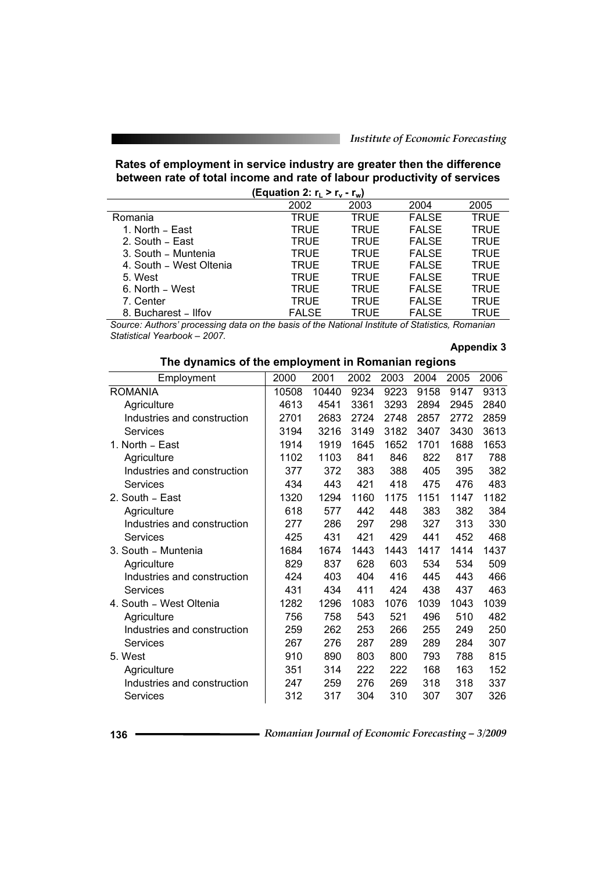# **Rates of employment in service industry are greater then the difference between rate of total income and rate of labour productivity of services**

| (Equation 2: $r_L > r_v$ - $r_w$ ) |              |             |              |             |  |  |  |  |  |  |  |
|------------------------------------|--------------|-------------|--------------|-------------|--|--|--|--|--|--|--|
| 2002<br>2003<br>2005<br>2004       |              |             |              |             |  |  |  |  |  |  |  |
| Romania                            | <b>TRUE</b>  | <b>TRUE</b> | <b>FALSE</b> | <b>TRUE</b> |  |  |  |  |  |  |  |
| 1. North – East                    | <b>TRUE</b>  | <b>TRUE</b> | <b>FALSE</b> | <b>TRUE</b> |  |  |  |  |  |  |  |
| 2. South - East                    | <b>TRUE</b>  | <b>TRUE</b> | <b>FALSE</b> | <b>TRUE</b> |  |  |  |  |  |  |  |
| 3. South - Muntenia                | <b>TRUE</b>  | <b>TRUE</b> | <b>FALSE</b> | TRUE        |  |  |  |  |  |  |  |
| 4. South - West Oltenia            | <b>TRUE</b>  | <b>TRUE</b> | <b>FALSE</b> | <b>TRUE</b> |  |  |  |  |  |  |  |
| 5. West                            | TRUE         | <b>TRUE</b> | <b>FALSE</b> | <b>TRUE</b> |  |  |  |  |  |  |  |
| 6. North – West                    | <b>TRUE</b>  | <b>TRUE</b> | <b>FALSE</b> | <b>TRUE</b> |  |  |  |  |  |  |  |
| 7. Center                          | <b>TRUE</b>  | <b>TRUE</b> | <b>FALSE</b> | TRUE        |  |  |  |  |  |  |  |
| 8. Bucharest - Ilfov               | <b>FALSE</b> | TRUE        | <b>FALSE</b> | TRUE        |  |  |  |  |  |  |  |

*Source: Authors' processing data on the basis of the National Institute of Statistics, Romanian Statistical Yearbook – 2007.* 

#### **Appendix 3**

| nic aynamics or are chiployinent in Romanian regions |       |       |      |      |      |      |      |
|------------------------------------------------------|-------|-------|------|------|------|------|------|
| Employment                                           | 2000  | 2001  | 2002 | 2003 | 2004 | 2005 | 2006 |
| <b>ROMANIA</b>                                       | 10508 | 10440 | 9234 | 9223 | 9158 | 9147 | 9313 |
| Agriculture                                          | 4613  | 4541  | 3361 | 3293 | 2894 | 2945 | 2840 |
| Industries and construction                          | 2701  | 2683  | 2724 | 2748 | 2857 | 2772 | 2859 |
| Services                                             | 3194  | 3216  | 3149 | 3182 | 3407 | 3430 | 3613 |
| 1. North - East                                      | 1914  | 1919  | 1645 | 1652 | 1701 | 1688 | 1653 |
| Agriculture                                          | 1102  | 1103  | 841  | 846  | 822  | 817  | 788  |
| Industries and construction                          | 377   | 372   | 383  | 388  | 405  | 395  | 382  |
| <b>Services</b>                                      | 434   | 443   | 421  | 418  | 475  | 476  | 483  |
| 2. South - East                                      | 1320  | 1294  | 1160 | 1175 | 1151 | 1147 | 1182 |
| Agriculture                                          | 618   | 577   | 442  | 448  | 383  | 382  | 384  |
| Industries and construction                          | 277   | 286   | 297  | 298  | 327  | 313  | 330  |
| Services                                             | 425   | 431   | 421  | 429  | 441  | 452  | 468  |
| 3. South - Muntenia                                  | 1684  | 1674  | 1443 | 1443 | 1417 | 1414 | 1437 |
| Agriculture                                          | 829   | 837   | 628  | 603  | 534  | 534  | 509  |
| Industries and construction                          | 424   | 403   | 404  | 416  | 445  | 443  | 466  |
| Services                                             | 431   | 434   | 411  | 424  | 438  | 437  | 463  |
| 4. South - West Oltenia                              | 1282  | 1296  | 1083 | 1076 | 1039 | 1043 | 1039 |
| Agriculture                                          | 756   | 758   | 543  | 521  | 496  | 510  | 482  |
| Industries and construction                          | 259   | 262   | 253  | 266  | 255  | 249  | 250  |
| Services                                             | 267   | 276   | 287  | 289  | 289  | 284  | 307  |
| 5. West                                              | 910   | 890   | 803  | 800  | 793  | 788  | 815  |
| Agriculture                                          | 351   | 314   | 222  | 222  | 168  | 163  | 152  |
| Industries and construction                          | 247   | 259   | 276  | 269  | 318  | 318  | 337  |
| Services                                             | 312   | 317   | 304  | 310  | 307  | 307  | 326  |

# **The dynamics of the employment in Romanian regions**